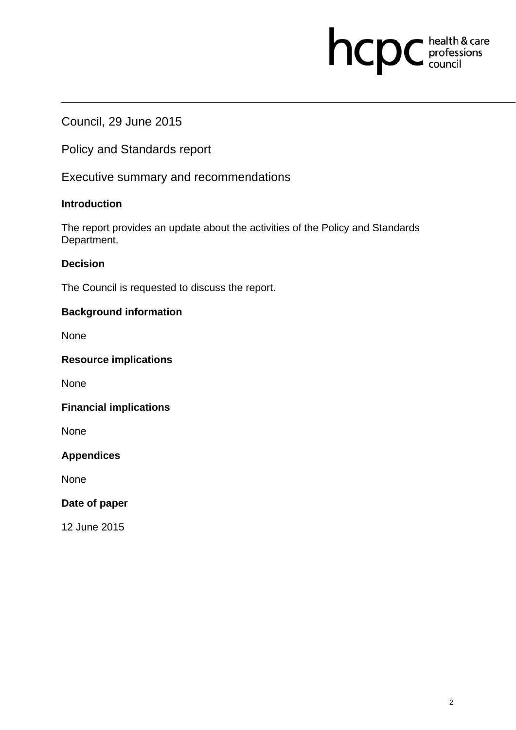# hcpc health & care

# Council, 29 June 2015

Policy and Standards report

Executive summary and recommendations

# **Introduction**

The report provides an update about the activities of the Policy and Standards Department.

# **Decision**

The Council is requested to discuss the report.

# **Background information**

None

# **Resource implications**

None

## **Financial implications**

None

# **Appendices**

None

#### **Date of paper**

12 June 2015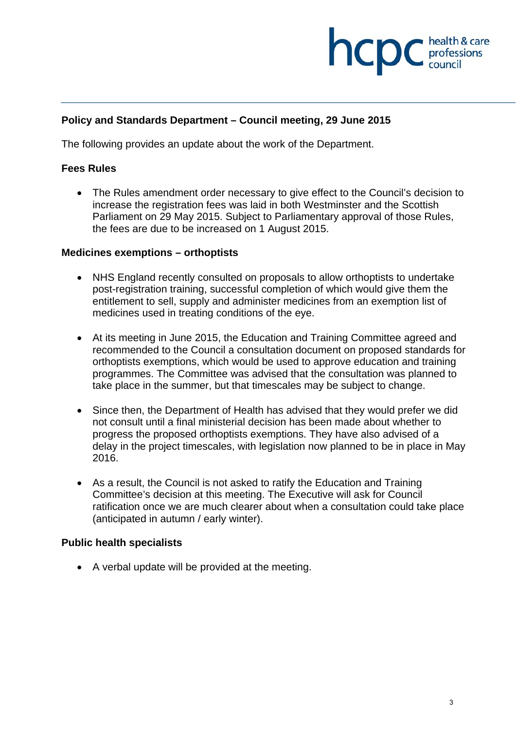

## **Policy and Standards Department – Council meeting, 29 June 2015**

The following provides an update about the work of the Department.

#### **Fees Rules**

 The Rules amendment order necessary to give effect to the Council's decision to increase the registration fees was laid in both Westminster and the Scottish Parliament on 29 May 2015. Subject to Parliamentary approval of those Rules, the fees are due to be increased on 1 August 2015.

#### **Medicines exemptions – orthoptists**

- NHS England recently consulted on proposals to allow orthoptists to undertake post-registration training, successful completion of which would give them the entitlement to sell, supply and administer medicines from an exemption list of medicines used in treating conditions of the eye.
- At its meeting in June 2015, the Education and Training Committee agreed and recommended to the Council a consultation document on proposed standards for orthoptists exemptions, which would be used to approve education and training programmes. The Committee was advised that the consultation was planned to take place in the summer, but that timescales may be subject to change.
- Since then, the Department of Health has advised that they would prefer we did not consult until a final ministerial decision has been made about whether to progress the proposed orthoptists exemptions. They have also advised of a delay in the project timescales, with legislation now planned to be in place in May 2016.
- As a result, the Council is not asked to ratify the Education and Training Committee's decision at this meeting. The Executive will ask for Council ratification once we are much clearer about when a consultation could take place (anticipated in autumn / early winter).

#### **Public health specialists**

A verbal update will be provided at the meeting.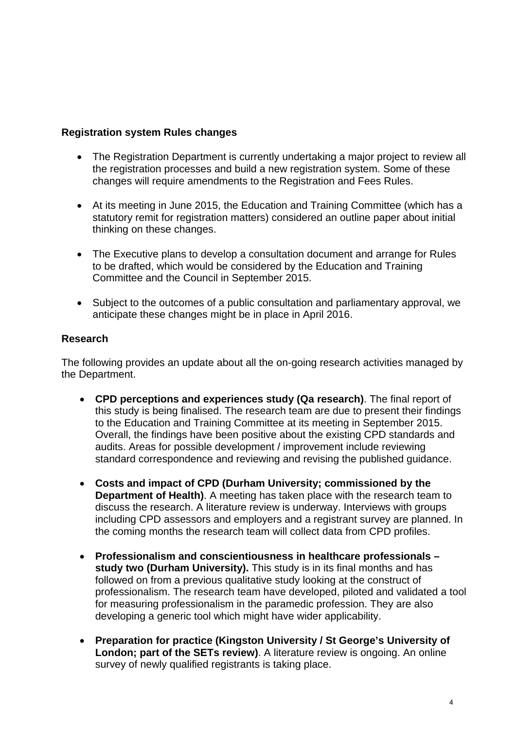# **Registration system Rules changes**

- The Registration Department is currently undertaking a major project to review all the registration processes and build a new registration system. Some of these changes will require amendments to the Registration and Fees Rules.
- At its meeting in June 2015, the Education and Training Committee (which has a statutory remit for registration matters) considered an outline paper about initial thinking on these changes.
- The Executive plans to develop a consultation document and arrange for Rules to be drafted, which would be considered by the Education and Training Committee and the Council in September 2015.
- Subject to the outcomes of a public consultation and parliamentary approval, we anticipate these changes might be in place in April 2016.

## **Research**

The following provides an update about all the on-going research activities managed by the Department.

- **CPD perceptions and experiences study (Qa research)**. The final report of this study is being finalised. The research team are due to present their findings to the Education and Training Committee at its meeting in September 2015. Overall, the findings have been positive about the existing CPD standards and audits. Areas for possible development / improvement include reviewing standard correspondence and reviewing and revising the published guidance.
- **Costs and impact of CPD (Durham University; commissioned by the Department of Health)**. A meeting has taken place with the research team to discuss the research. A literature review is underway. Interviews with groups including CPD assessors and employers and a registrant survey are planned. In the coming months the research team will collect data from CPD profiles.
- **Professionalism and conscientiousness in healthcare professionals study two (Durham University).** This study is in its final months and has followed on from a previous qualitative study looking at the construct of professionalism. The research team have developed, piloted and validated a tool for measuring professionalism in the paramedic profession. They are also developing a generic tool which might have wider applicability.
- **Preparation for practice (Kingston University / St George's University of London; part of the SETs review)**. A literature review is ongoing. An online survey of newly qualified registrants is taking place.